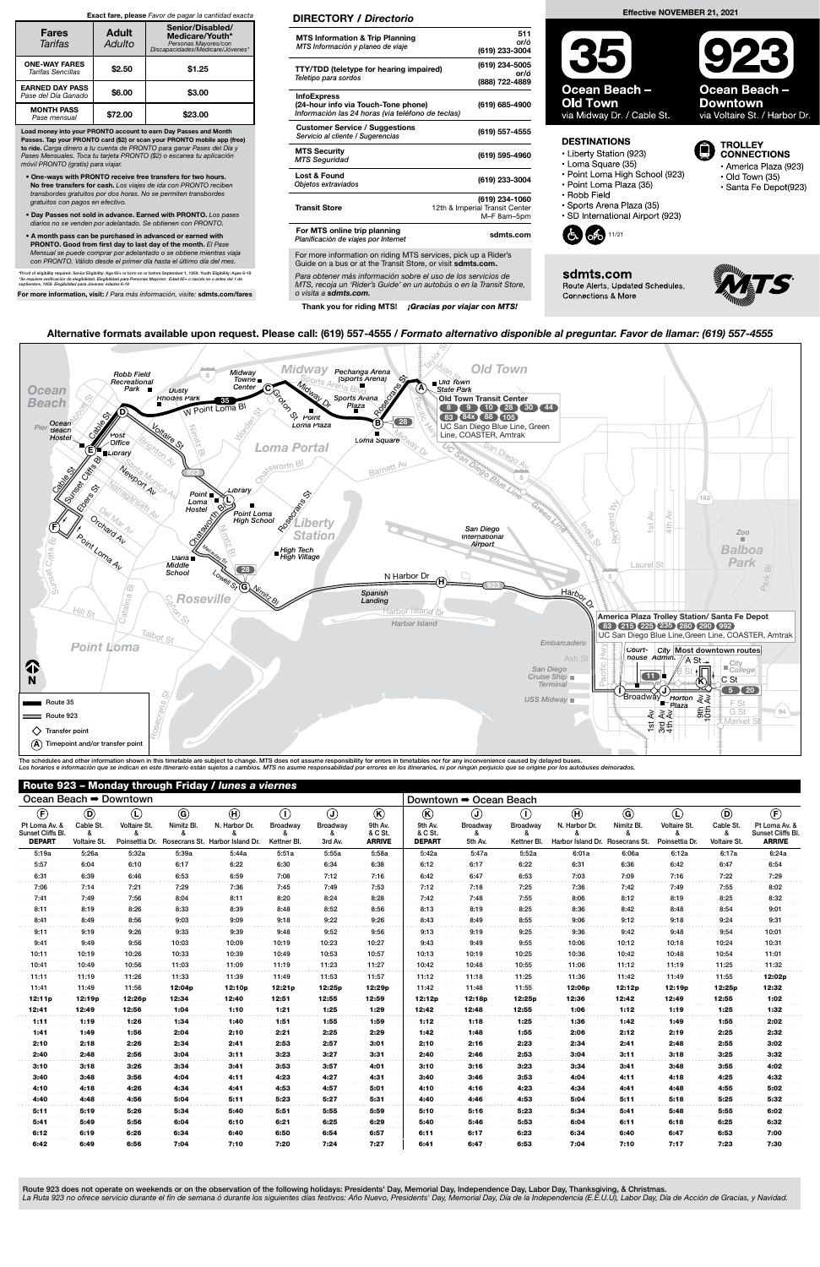|                                                                                    |                                                  |                         |                             | Route 923 - Monday through Friday / lunes a viernes                                          |                                                          |                                     |                                                    |                                                    |                                     |                                                     |                                                                  |                              |                                                   |                                                  |                                                                      |
|------------------------------------------------------------------------------------|--------------------------------------------------|-------------------------|-----------------------------|----------------------------------------------------------------------------------------------|----------------------------------------------------------|-------------------------------------|----------------------------------------------------|----------------------------------------------------|-------------------------------------|-----------------------------------------------------|------------------------------------------------------------------|------------------------------|---------------------------------------------------|--------------------------------------------------|----------------------------------------------------------------------|
| Ocean Beach ➡ Downtown                                                             |                                                  |                         |                             |                                                                                              |                                                          |                                     |                                                    | Downtown → Ocean Beach                             |                                     |                                                     |                                                                  |                              |                                                   |                                                  |                                                                      |
| $\left( \mathbf{F} \right)$<br>Pt Loma Av. &<br>Sunset Cliffs Bl.<br><b>DEPART</b> | $\circledcirc$<br>Cable St.<br>&<br>Voltaire St. | $\odot$<br>Voltaire St. | $\circled{c}$<br>Nimitz Bl. | $\left(\mathbf{H}\right)$<br>N. Harbor Dr.<br>Poinsettia Dr. Rosecrans St. Harbor Island Dr. | $\left( \bigcap \right)$<br>Broadway<br>&<br>Kettner Bl. | $\odot$<br>Broadway<br>&<br>3rd Av. | $\circledR$<br>9th Av.<br>& C St.<br><b>ARRIVE</b> | $\circledR$<br>9th Av.<br>& C St.<br><b>DEPART</b> | $\odot$<br>Broadway<br>&<br>5th Av. | $\left( \bigcap \right)$<br>Broadway<br>Kettner Bl. | $\mathbf{H}$<br>N. Harbor Dr.<br>Harbor Island Dr. Rosecrans St. | $\circledcirc$<br>Nimitz Bl. | $\bigcirc$<br>Voltaire St.<br>ጼ<br>Poinsettia Dr. | $\circledcirc$<br>Cable St.<br>&<br>Voltaire St. | $\circled{f}$<br>Pt Loma Av. &<br>Sunset Cliffs Bl.<br><b>ARRIVE</b> |
| 5:19a                                                                              | 5:26a                                            | 5:32a                   | 5:39a                       | 5:44a                                                                                        | 5:51a                                                    | 5:55a                               | 5:58a                                              | 5:42a                                              | 5:47a                               | 5:52a                                               | 6:01a                                                            | 6:06a                        | 6:12a                                             | 6:17a                                            | 6:24a                                                                |
| 5:57                                                                               | 6:04                                             | 6:10                    | 6:17                        | 6:22                                                                                         | 6:30                                                     | 6:34                                | 6:38                                               | 6:12                                               | 6:17                                | 6:22                                                | 6:31                                                             | 6:36                         | 6:42                                              | 6:47                                             | 6:54                                                                 |
| 6:31                                                                               | 6:39                                             | 6:46                    | 6:53                        | 6:59                                                                                         | 7:08                                                     | 7:12                                | 7:16                                               | 6:42                                               | 6:47                                | 6:53                                                | 7:03                                                             | 7:09                         | 7:16                                              | 7:22                                             | 7:29                                                                 |
| 7:06                                                                               | 7:14                                             | 7:21                    | 7:29                        | 7:36                                                                                         | 7:45                                                     | 7:49                                | 7:53                                               | 7:12                                               | 7:18                                | 7:25                                                | 7:36                                                             | 7:42                         | 7:49                                              | 7:55                                             | 8:02                                                                 |
| 7:41                                                                               | 7:49                                             | 7:56                    | 8:04                        | 8:11                                                                                         | 8:20                                                     | 8:24                                | 8:28                                               | 7:42                                               | 7:48                                | 7:55                                                | 8:06                                                             | 8:12                         | 8:19                                              | 8:25                                             | 8:32                                                                 |
| 8:11                                                                               | 8:19                                             | 8:26                    | 8:33                        | 8:39                                                                                         | 8:48                                                     | 8:52                                | 8:56                                               | 8:13                                               | 8:19                                | 8:25                                                | 8:36                                                             | 8:42                         | 8:48                                              | 8:54                                             | 9:01                                                                 |
| 8:41                                                                               | 8:49                                             | 8:56                    | 9:03                        | 9:09                                                                                         | 9:18                                                     | 9:22                                | 9:26                                               | 8:43                                               | 8:49                                | 8:55                                                | 9:06                                                             | 9:12                         | 9:18                                              | 9:24                                             | 9:31                                                                 |
| 9:11                                                                               | 9:19                                             | 9:26                    | 9:33                        | 9:39                                                                                         | 9:48                                                     | 9:52                                | 9:56                                               | 9:13                                               | 9:19                                | 9:25                                                | 9:36                                                             | 9:42                         | 9:48                                              | 9:54                                             | 10:01                                                                |
| 9:41                                                                               | 9:49                                             | 9:56                    | 10:03                       | 10:09                                                                                        | 10:19                                                    | 10:23                               | 10:27                                              | 9:43                                               | 9:49                                | 9:55                                                | 10:06                                                            | 10:12                        | 10:18                                             | 10:24                                            | 10:31                                                                |
| 10:11                                                                              | 10:19                                            | 10:26                   | 10:33                       | 10:39                                                                                        | 10:49                                                    | 10:53                               | 10:57                                              | 10:13                                              | 10:19                               | 10:25                                               | 10:36                                                            | 10:42                        | 10:48                                             | 10:54                                            | 11:01                                                                |
| 10:41                                                                              | 10:49                                            | 10:56                   | 11:03                       | 11:09                                                                                        | 11:19                                                    | 11:23                               | 11:27                                              | 10:42                                              | 10:48                               | 10:55                                               | 11:06                                                            | 11:12                        | 11:19                                             | 11:25                                            | 11:32                                                                |
| 11:11                                                                              | 11:19                                            | 11:26                   | 11:33                       | 11:39                                                                                        | 11:49                                                    | 11:53                               | 11:57                                              | 11:12                                              | 11:18                               | 11:25                                               | 11:36                                                            | 11:42                        | 11:49                                             | 11:55                                            | 12:02p                                                               |
| 11:41                                                                              | 11:49                                            | 11:56                   | 12:04p                      | 12:10p                                                                                       | 12:21p                                                   | 12:25p                              | 12:29p                                             | 11:42                                              | 11:48                               | 11:55                                               | 12:06p                                                           | 12:12p                       | 12:19p                                            | 12:25p                                           | 12:32                                                                |
| 12:11p                                                                             | 12:19p                                           | 12:26p                  | 12:34                       | 12:40                                                                                        | 12:51                                                    | 12:55                               | 12:59                                              | 12:12p                                             | 12:18p                              | 12:25p                                              | 12:36                                                            | 12:42                        | 12:49                                             | 12:55                                            | 1:02                                                                 |
| 12:41                                                                              | 12:49                                            | 12:56                   | 1:04                        | 1:10                                                                                         | 1:21                                                     | 1:25                                | 1:29                                               | 12:42                                              | 12:48                               | 12:55                                               | 1:06                                                             | 1:12                         | 1:19                                              | 1:25                                             | 1:32                                                                 |
| 1:11                                                                               | 1:19                                             | 1:26                    | 1:34                        | 1:40                                                                                         | 1:51                                                     | 1:55                                | 1:59                                               | 1:12                                               | 1:18                                | 1:25                                                | 1:36                                                             | 1:42                         | 1:49                                              | 1:55                                             | 2:02                                                                 |
| 1:41                                                                               | 1:49                                             | 1:56                    | 2:04                        | 2:10                                                                                         | 2:21                                                     | 2:25                                | 2:29                                               | 1:42                                               | 1:48                                | 1:55                                                | 2:06                                                             | 2:12                         | 2:19                                              | 2:25                                             | 2:32                                                                 |
| 2:10                                                                               | 2:18                                             | 2:26                    | 2:34                        | 2:41                                                                                         | 2:53                                                     | 2:57                                | 3:01                                               | 2:10                                               | 2:16                                | 2:23                                                | 2:34                                                             | 2:41                         | 2:48                                              | 2:55                                             | 3:02                                                                 |
| 2:40                                                                               | 2:48                                             | 2:56                    | 3:04                        | 3:11                                                                                         | 3:23                                                     | 3:27                                | 3:31                                               | 2:40                                               | 2:46                                | 2:53                                                | 3:04                                                             | 3:11                         | 3:18                                              | 3:25                                             | 3:32                                                                 |
| 3:10                                                                               | 3:18                                             | 3:26                    | 3:34                        | 3:41                                                                                         | 3:53                                                     | 3:57                                | 4:01                                               | 3:10                                               | 3:16                                | 3:23                                                | 3:34                                                             | 3:41                         | 3:48                                              | 3:55                                             | 4:02                                                                 |
| 3:40                                                                               | 3:48                                             | 3:56                    | 4:04                        | 4:11                                                                                         | 4:23                                                     | 4:27                                | 4:31                                               | 3:40                                               | 3:46                                | 3:53                                                | 4:04                                                             | 4:11                         | 4:18                                              | 4:25                                             | 4:32                                                                 |
| 4:10                                                                               | 4:18                                             | 4:26                    | 4:34                        | 4:41                                                                                         | 4:53                                                     | 4:57                                | 5:01                                               | 4:10                                               | 4:16                                | 4:23                                                | 4:34                                                             | 4:41                         | 4:48                                              | 4:55                                             | 5:02                                                                 |
| 4:40                                                                               | 4:48                                             | 4:56                    | 5:04                        | 5:11                                                                                         | 5:23                                                     | 5:27                                | 5:31                                               | 4:40                                               | 4:46                                | 4:53                                                | 5:04                                                             | 5:11                         | 5:18                                              | 5:25                                             | 5:32                                                                 |
| 5:11                                                                               | 5:19                                             | 5:26                    | 5:34                        | 5:40                                                                                         | 5:51                                                     | 5:55                                | 5:59                                               | 5:10                                               | 5:16                                | 5:23                                                | 5:34                                                             | 5:41                         | 5:48                                              | 5:55                                             | 6:02                                                                 |
| 5:41                                                                               | 5:49                                             | 5:56                    | 6:04                        | 6:10                                                                                         | 6:21                                                     | 6:25                                | 6:29                                               | 5:40                                               | 5:46                                | 5:53                                                | 6:04                                                             | 6:11                         | 6:18                                              | 6:25                                             | 6:32                                                                 |
| 6:12                                                                               | 6:19                                             | 6:26                    | 6:34                        | 6:40                                                                                         | 6:50                                                     | 6:54                                | 6:57                                               | 6:11                                               | 6:17                                | 6:23                                                | 6:34                                                             | 6:40                         | 6:47                                              | 6:53                                             | 7:00                                                                 |
| 6:42                                                                               | 6:49                                             | 6:56                    | 7:04                        | 7:10                                                                                         | 7:20                                                     | 7:24                                | 7:27                                               | 6:41                                               | 6:47                                | 6:53                                                | 7:04                                                             | 7:10                         | 7:17                                              | 7:23                                             | 7:30                                                                 |

Route 923 does not operate on weekends or on the observation of the following holidays: Presidents' Day, Memorial Day, Independence Day, Labor Day, Thanksgiving, & Christmas. La Ruta 923 no ofrece servicio durante el fín de semana ó durante los siguientes días festivos: Año Nuevo, Presidents' Day, Memorial Day, Día de la Independencia (E.E.U.U), Labor Day, Día de Acción de Gracias, y Navidad.



Alternative formats available upon request. Please call: (619) 557-4555 / Formato alternativo disponible al preguntar. Favor de llamar: (619) 557-4555

Para obtener más información sobre el uso de los servicios de MTS, recoja un 'Rider's Guide' en un autobús o en la Transit Store, o visita a sdmts.com.

Thank you for riding MTS! ¡Gracias por viajar con MTS!

## DIRECTORY / Directorio

| <b>MTS Information &amp; Trip Planning</b><br>MTS Información y planeo de viaje                                | 511<br>or/ó<br>(619) 233-3004                                   |
|----------------------------------------------------------------------------------------------------------------|-----------------------------------------------------------------|
| TTY/TDD (teletype for hearing impaired)<br>Teletipo para sordos                                                | (619) 234-5005<br>or/ó<br>(888) 722-4889                        |
| <b>InfoExpress</b><br>(24-hour info via Touch-Tone phone)<br>Información las 24 horas (via teléfono de teclas) | (619) 685-4900                                                  |
| <b>Customer Service / Suggestions</b><br>Servicio al cliente / Sugerencias                                     | (619) 557-4555                                                  |
| <b>MTS Security</b><br><b>MTS Seguridad</b>                                                                    | (619) 595-4960                                                  |
| Lost & Found<br>Objetos extraviados                                                                            | (619) 233-3004                                                  |
| <b>Transit Store</b>                                                                                           | (619) 234-1060<br>12th & Imperial Transit Center<br>M-F 8am-5pm |
| For MTS online trip planning<br>Planificación de viajes por Internet                                           | sdmts.com                                                       |
| For more information on riding MTS services, pick up a Rider's                                                 |                                                                 |

Guide on a bus or at the Transit Store, or visit sdmts.com.

Load money into your PRONTO account to earn Day Passes and Month Passes. Tap your PRONTO card (\$2) or scan your PRONTO mobile app (free) to ride. Carga dinero a tu cuenta de PRONTO para ganar Pases del Día y Pases Mensuales. Toca tu tarjeta PRONTO (\$2) o escanea tu aplicación móvil PRONTO (gratis) para viajar.

- One-ways with PRONTO receive free transfers for two hours. No free transfers for cash. Los viajes de ida con PRONTO reciben transbordes gratuitos por dos horas. No se permiten transbordes gratuitos con pagos en efectivo.
- Day Passes not sold in advance. Earned with PRONTO. Los pases diarios no se venden por adelantado. Se obtienen con PRONTO.
- A month pass can be purchased in advanced or earned with PRONTO. Good from first day to last day of the month. El Pase Mensual se puede comprar por adelantado o se obtiene mientras viaja con PRONTO. Válido desde el primer día hasta el último día del mes.

\*Proof of eligibility required. Senior Eligibility: Age 65+ or born on or before September 1, 1959. Youth Eligibility: Ages 6-18<br>\*Se requiere verificación de elegibilidad. Elegibilidad para Personas Mayores: Edad 65+ o nac

For more information, visit: / Para más información, visite: sdmts.com/fares

## Exact fare, please Favor de pagar la cantidad exacta

| <b>Fares</b><br>Tarifas                       | <b>Adult</b><br>Adulto | Senior/Disabled/<br>Medicare/Youth*<br>Personas Mayores/con<br>Discapacidades/Medicare/Jóvenes* |
|-----------------------------------------------|------------------------|-------------------------------------------------------------------------------------------------|
| <b>ONE-WAY FARES</b><br>Tarifas Sencillas     | \$2.50                 | \$1.25                                                                                          |
| <b>EARNED DAY PASS</b><br>Pase del Día Ganado | \$6.00                 | \$3.00                                                                                          |
| <b>MONTH PASS</b><br>Pase mensual             | \$72.00                | \$23.00                                                                                         |

The schedules and other information shown in this timetable are subject to change. MTS does not assume responsibility for errors in timetables nor for any inconvenience caused by delayed buses.

Los horarios e información que se indican en este itinerario están sujetos a cambios. MTS no asume responsabilidad por errores en los itinerarios, ni por ningún perjuicio que se origine por los autobuses demorados

|               | <b>Effective NOVEMBER 21, 2021</b> |
|---------------|------------------------------------|
|               | $\mathbf \Omega$                   |
| Ragch<br>חבבי | caan Raacl                         |

**Old Town** via Midway Dr. / Cable St.

## **Downtown** via Voltaire St. / Harbor Dr.

**TROLLEY<br>CONNECTIONS** 

· Old Town (35)

· America Plaza (923)

· Santa Fe Depot(923)

Œ

## **DESTINATIONS**

- Liberty Station (923)
- · Loma Square (35)
- · Point Loma High School (923)
- · Point Loma Plaza (35)

• Robb Field

· Sports Arena Plaza (35) · SD International Airport (923)



sdmts.com Route Alerts, Updated Schedules, Connections & More